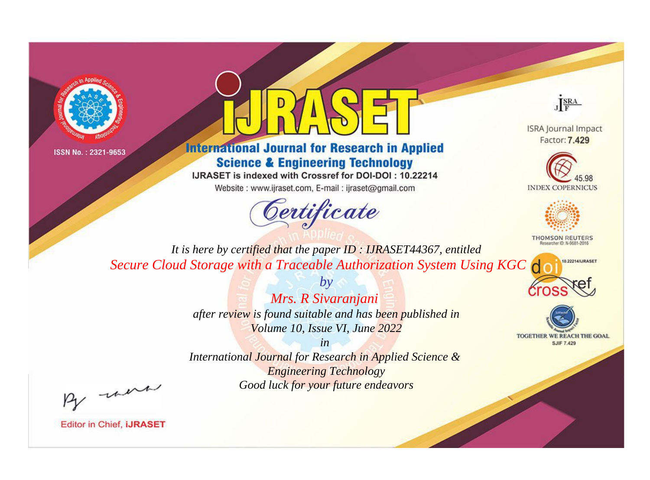



## **International Journal for Research in Applied Science & Engineering Technology**

IJRASET is indexed with Crossref for DOI-DOI: 10.22214

Website: www.ijraset.com, E-mail: ijraset@gmail.com



JERA

**ISRA Journal Impact** Factor: 7.429





**THOMSON REUTERS** 



TOGETHER WE REACH THE GOAL **SJIF 7.429** 

*It is here by certified that the paper ID : IJRASET44367, entitled Secure Cloud Storage with a Traceable Authorization System Using KGC*

> *by Mrs. R Sivaranjani after review is found suitable and has been published in Volume 10, Issue VI, June 2022*

> > *in*

*International Journal for Research in Applied Science & Engineering Technology Good luck for your future endeavors*

By morn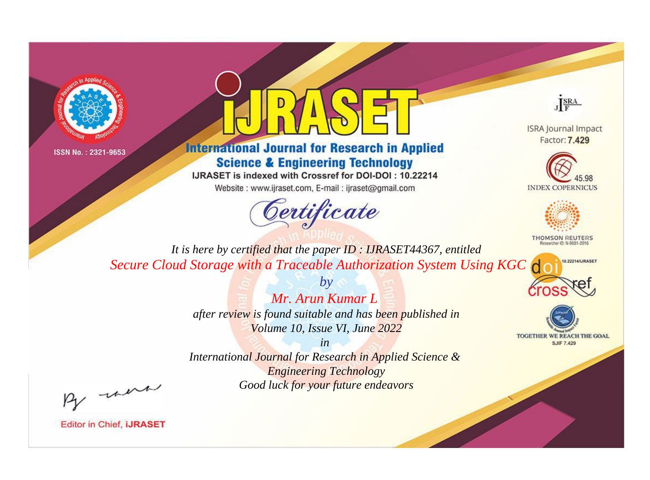



## **International Journal for Research in Applied Science & Engineering Technology**

IJRASET is indexed with Crossref for DOI-DOI: 10.22214

Website: www.ijraset.com, E-mail: ijraset@gmail.com



JERA

**ISRA Journal Impact** Factor: 7.429





**THOMSON REUTERS** 

10.22214/IJRASET

TOGETHER WE REACH THE GOAL **SJIF 7.429** 

*It is here by certified that the paper ID : IJRASET44367, entitled Secure Cloud Storage with a Traceable Authorization System Using KGC*

> *Mr. Arun Kumar L after review is found suitable and has been published in Volume 10, Issue VI, June 2022*

*by*

*in* 

*International Journal for Research in Applied Science & Engineering Technology Good luck for your future endeavors*

By morn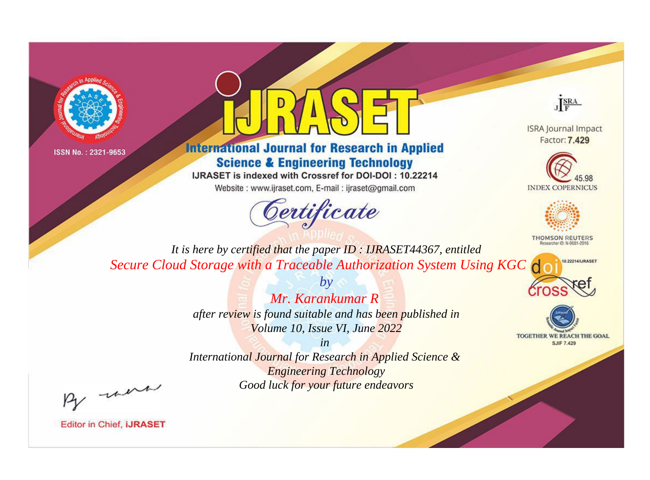



## **International Journal for Research in Applied Science & Engineering Technology**

IJRASET is indexed with Crossref for DOI-DOI: 10.22214

Website: www.ijraset.com, E-mail: ijraset@gmail.com



JERA

**ISRA Journal Impact** Factor: 7.429





**THOMSON REUTERS** 

10.22214/IJRASET

TOGETHER WE REACH THE GOAL **SJIF 7.429** 

*It is here by certified that the paper ID : IJRASET44367, entitled Secure Cloud Storage with a Traceable Authorization System Using KGC*

> *Mr. Karankumar R after review is found suitable and has been published in Volume 10, Issue VI, June 2022*

*by*

*in* 

*International Journal for Research in Applied Science & Engineering Technology Good luck for your future endeavors*

By morn